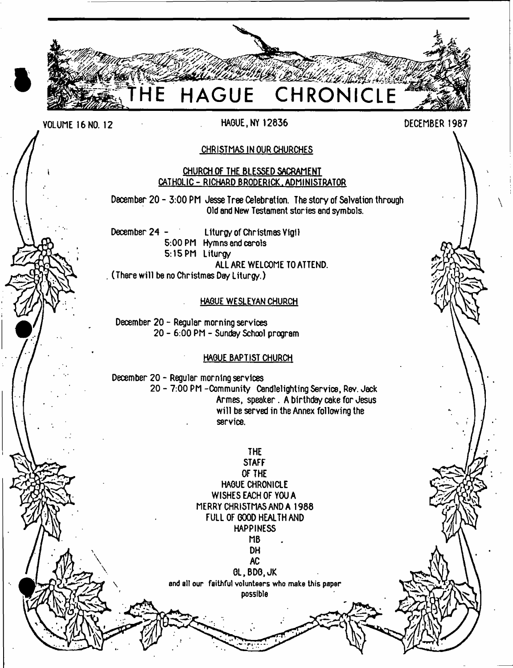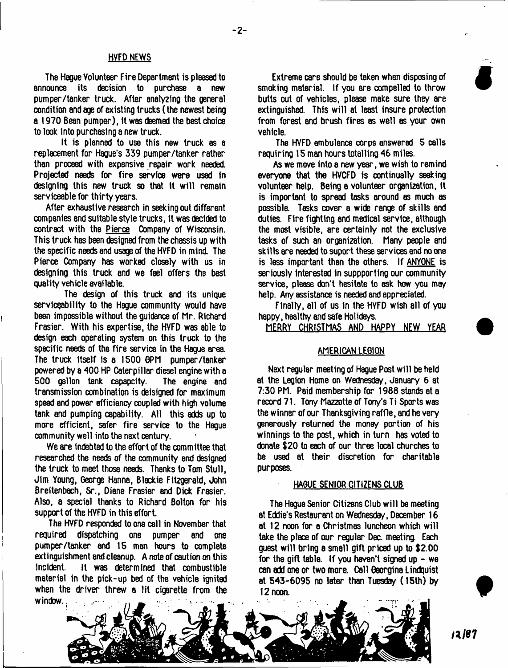#### HVFD NEWS

The Hague Volunteer Fire Department is pleased to announce its decision to purchase a new pumper/tanker truck. After analyzing the general condition and age of existing trucks (the newest being a 1970 Bean pumper), it was deemed the best choice to look into purchasing a new truck.

It is planned to use this new truck as a replacement for Hague's 339 pumper/t8nker rather than proceed with expensive repair work needed. Projected needs for fire service were used in designing this new truck so that it will remain serviceable for thirty years.

After exhaustive research in seeking out different companies and suitable style trucks, it was decided to contract with the Pierce Company of Wisconsin. This truck hss been designed from the chassis up with the specific needs and usage of the HYFD in mind The Pierce Company has worked closely with us in designing this truck end we feel offers the best quality vehicle available.

The design of this truck snd its unique serviceability to the Hague community would have been impossible without the guidance of Mr. Richard Frasier. With his expertise, the HVFD was able to design each operating system on this truck to the specific needs of the fire service in the Hague area. The truck itself is a 1500 OPM pumper/tanker powered by a 400 HP Caterpillar diesel engine with a 500 gallon tank capapcity. The engine and transmission combination is deisigned for maximum speed and power efficiency coupled with high volume tank end pumping capability. All this adds up to more efficient, safer fire service to the Hague community well into the next century.

We are indebted to the effort of the committee that researched the needs of the community and designed the truck to meet those needs. Thanks to Tom Stull, Jim Young, George Hanna, Blackie Fitzgerald, John Breitenbach, Sr., Diane Frasier snd Dick Frasier. Also, a special thanks to Richard Bolton for his support of the HYFD in this effort

The HVFD responded to one call in November that required dispatching one pumper and one pumper/tanker end 15 man hours to complete extinguishment and cleanup. A note of caution on this incident. It was determined that combustible material in the pick-up bed of the vehicle ignited when the driver threw a lit cigarette from the window..

Extreme care should be taken when disposing of smoking materiel. If you are compelled to throw butts out of vehicles, please make sure they are extinguished. This will at least insure protection from forest and brush fires as well as your own vehicle.

The HVFD ambulance corps answered 5 calls requiring 15 man hours totalling 46 miles.

As we move into a new year, we wish to remind everyone that the HVCFD is continually seeking volunteer help. Being a volunteer organization, it is important to spread tasks around as much as possible. Tasks cover a wide range of skills end duties. Fire fighting and medical service, although the most visible, are certainly not the exclusive tasks of such an organization. Many people and skills are needed to suport these services and no one is less important than the others. If ANYONE is seriously interested in suppporting our community service, please don't hesitate to ask how you mey help. Any assistance is needed and appreciated.

Finally, all of us In the HVFD wish ell of you happy, healthy and safe Holidays.

MERRY CHRISTMAS AND HAPPY NEW YEAR

# AMERICAN LEGION

Next regular meeting of Hague Post w ill be held at the Legion Home on Wednesday, January 6 at 7:30 PM. Paid membership for 1988 stands at a record 71. Tony Mazzotte of Tony's Ti Sports was the winner of our Thanksgiving raffle, and he very generously returned the money portion of his winnings to the post, which in turn has voted to donate \$20 to each of our three local churches to be used at their discretion for charitable purposes.

### HAGUE SENIOR CITIZENS CLUB

The Hague Senior Citizens Club will be meeting at Eddie's Restaurant on Wednesday, December 16 at 12 noon for a Christmas luncheon which will take the place of our regular Dec. meeting Each guest w ill bring a small gift priced up to \$2.00 for the gift table. If you haven't signed up  $-$  we can add one or two more. Call Oeorgina Lindquist at 543-6095 no later than Tuesday ( 15th) by 12 noon.



**t**

**#**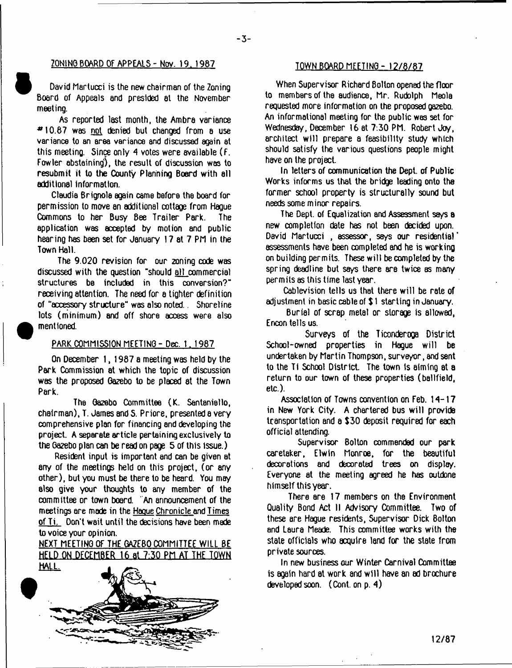# **ZONINO BOARD Of APPEALS- Nov. 19. 1987**

 $-3-$ 

David Martucci is the new chairman of the Zoning Board of Appeals and presided at the November meeting.

As reported last month, the Ambra variance  $*10.87$  was not denied but changed from a use variance to an area variance and discussed again at this meeting. Since only 4 votes were available (F. Fowler abstaining), the result of discussion was to resubmit it to the County Planning Boerd with all additional information.

Claudia Brignole again came before the board for permission to move an additional cottage from Hague Commons to her Busy Bee Trailer Park. The application was accepted by motion and public hearing has been set for January 17 at 7 PM in the Town Hall.

The 9.020 revision for our 2oning code was discussed with the question "should all commercial structures be included in this conversion?" receiving attention. The need for a tighter definition of "accessory structure" was also noted., Shoreline lots (minimum) and off shore access were also mentioned.

#### PARK COMMISSION MEETING - Dec. 1. 1987

On December 1, 1987 a meeting was held by the Park Commission at which the topic of discussion was the proposed Gazebo to be placed at the Town Park.

The Gazebo Committee (K. Santeniello, chairman), T. James and S. Priore, presented a very comprehensive plan for financing and developing the project. A separate article pertaining exclusively to the Gazebo plan can be read on page 5 of this issue.)

Resident input is important and can be given at any of the meetings held on this project, (or any other), but you must be there to be heard. You may also give your thoughts to any member of the committee or town board. 'An announcement of the meetings are made in the Hague Chronicle and Times of Ti. Don't wait until the decisions have been made to voice your opinion.

NEXT MEETING OF THE GAZEBO COMMITTEE WILL BE HELD ON DECEMBER 16 at 7:30 PM AT THE TOWN



# TOWN BOARD MEETING - 12/8/87

When Supervisor Richard Bolton opened the floor to members of the audience, Mr. Rudolph Meola requested more information on the proposed gazebo. An informational meeting for the public was set for Wednesday, December 16 at 7:30 PM. Robert Joy, architect will prepare a feasibility study which should satisfy the various questions people might have on the project.

In letters of communication the Dept, of Public Works informs us that the bridge leading onto the former school property is structurally sound but needs some m inor repairs.

The Dept, of Equalization and Assessment says a new completion date has not been decided upon. David Martucci, assessor, says our residential' assessments have been completed and he is working on building permits. These will be completed by the spring deadline but says there are twice as many permits as this time last year.

Cablevision tells us that there will be rale of adjustment in basic cable of \$ 1 starting in January.

Burial of scrap metal or storage is allowed, E neon tells us.

Surveys of the Ticonderoga District School-owned properties in Hague will be undertaken by Martin Thompson, surveyor, and sent to the Ti School District. The town is aiming at a return to our town of these properties (ballfield, etc.).

Association of Towns convention on Feb. 14-17 in New York City. A chartered bus will provide transportation and a \$30 deposit required for each official attending.

Supervisor Bolton commended our park caretaker, Elwin Monroe, for the beautiful decorations and decorated trees on display. Everyone at the meeting agreed he has outdone himself this year.

There are 17 members on the Environment Quality Bond Act II Advisory Committee. Two of these are Hague residents, Supervisor Dick Bolton and Laura Meade. This committee works with the state officials who acquire land for the state from private sources.

In new business our Winter Carnival Committee is again hard at work and will have an ad brochure. developed soon. (Cont. on p. 4)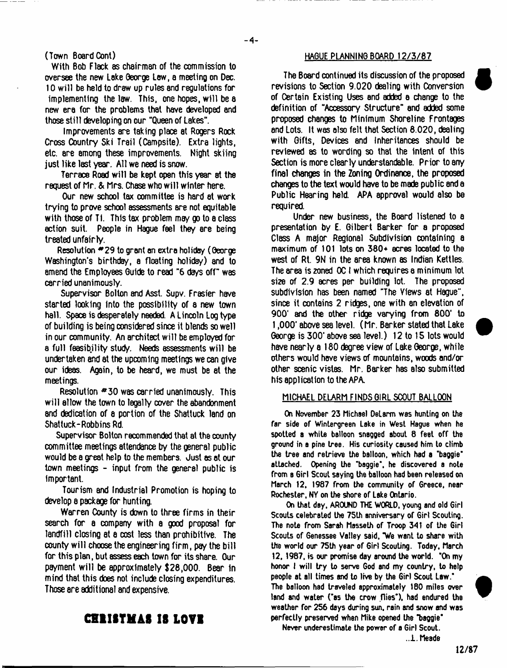(Town Board Cont)

With Bob Flack as chairman of the commission to oversee the new Lake George Lew, a meeting on Dec. 10 will be held to draw up rules and regulations for implementing the law. This, one hopes, w ill be a new era for the problems that have developed end those still developing on our "Queen of Lakes".

Improvements are taking place at Rogers Rock Cross Country Ski Trail (Campsite). Extra lights, etc. are among these improvements. Night skiing just like last year. All we need is snow.

Terrace Road will be kept open this year at the request of Mr. & Mrs. Chase who w ill winter here.

Our new school lax committee is hard at work trying to prove school assessments are not equitable with those of Ti. This tax problem may go to a class action suit. People in Hague feel they ere being treated unfairly.

Resolution \*29 to grant an extra holiday (George Washington's birthday, a floating holiday) and to amend the Employees Guide to read "6 days off" was carried unanimously.

Supervisor Bolton and Asst. Supv. Frasier have started looking into the possibility of a new town hall. Space is desperately needed. A Lincoln Log type of building is being considered since it blends so well in our community. An architect w ill be employed for a full feasibility study- Needs assessments will be undertaken and at the upcoming meetings we can give our ideas. Again, to be heard, we must be at the meetings.

Resolution \*30 was carried unanimously. This will allow the town to legally cover the abandonment and dedication of a portion of the Shattuck land on Shattuck-Robbins Rd.

Supervisor Bolton recommended that at the county committee meetings attendance by the general public would be a great help to the members. Just as at our town meetings - input from the general public is important.

Tourism and Industrial Promotion is hoping to develop a package for hunting.

Warren County is down to three firms in their search for a company with a good proposal for landfill closing at a cost less than prohibitive. The county w ill choose the engineering firm , pay the bill for this plan, but assess each town for its share. Our payment w ill be approximately \$28,000. Bear in mind that this does not include closing expenditures. Those are additional and expensive.

# HAGUE PLANNING BOARD 12/3/87

The Board continued its discussion of the proposed revisions to Section 9.020 dealing with Conversion of Certain Existing Uses and added a change to the definition of "Accessory Structure" and added some proposed changes to Minimum Shoreline Frontages end Lots. It was also felt that Section 8.020, dealing with Gifts, Devices and Inheritances should be reviewed 8S to wording so that the intent of this Section is more clearly understandable. Prior to sny final changes in the Zoning Ordinance, the proposed changes to the text would have to be made public and a Public Hearing held. APA approval would also be required.

Under new business, the Board listened to a presentation by E. Gilbert Barker for a proposed Class A major Regional Subdivision containing a maximum of 101 lots on 380+ acres located to the west of Rt. 9N in the area known as Indian Kettles. The area is zoned OC I which requires a minimum lot si2e of 2.9 acres per building lot. The proposed subdivision has been named "The Views at Hague", since it contains 2 ridges, one with an elevation of 900' and the other ridge varying from 800' to 1,000' above sea level. (Mr. Barker stated that Lake George is 300' above sea level.) 12 to 15 lots would have nearly a 180 degree view of Lake George, while others would have views of mountains, woods and/or other scenic vistas. Mr. Barker has also submitted his application to the APA.

#### MICHAEL DELARM FINDS GIRL SCOUT BALLOON

On November 23 Michael DeLarm was hunting on the far side of Wintergreen Lake in West Hague when he spotted a white balloon snagged about 8 feet off the ground in a pine tree. His curiosity caused him to climb the tree and retrieve the balloon, which had a 'baggie' attached. Opening the 'baggie', he discovered a note from a Girl Scout saying the balloon had been reteased on March 12, 1987 from the community of Greece, near Rochester. NY on the shore of Lake Ontario.

On that day. AROUND THE WORLD, young and old Girl Scouts celebrated the 75th anniversary of Girl Scouting. The note from Sarah Masseth of Troop 341 of the Girl Scouts of Genessee Valley said, "We want to share with the world our 75th year of Girl Scouting. Today, March 12, 1987, is our promise day around the world. "On my honor I will try to serve God and my country, to help people at all times and to live by the Girl Scout Law." The balloon had traveled approximately 180 miles over land and water ('as the crow flies'), had endured the

**t**



perfectly preserved when Mike opened the "baggie\* Never underestimate the power of a Girl Scout.

weather for 256 days during sun, rain and snow and was

..i. Meade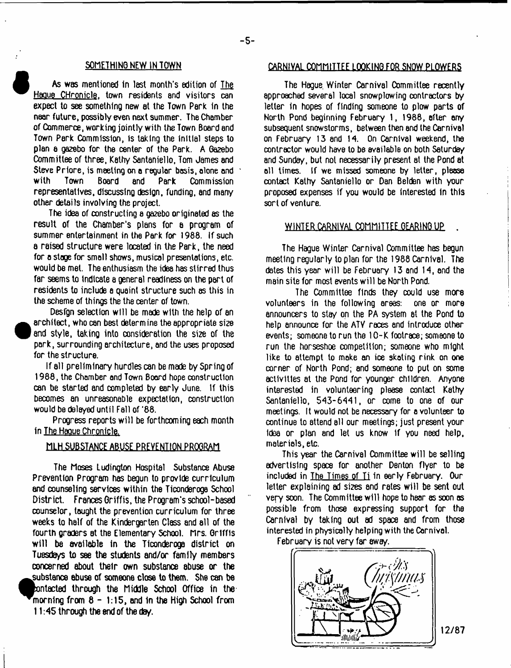### SOMETHING NEW IN TOWN

As was mentioned in last month's edition of The Hague CHronicle. town residents and visitors can expect to see something new at the Town Perk in the near future, possibly even next summer. The Chamber of Commerce, working jointly with the Town Board and Town Perk Commission, Is taking the initial steps to plan a gazebo for the center of the Park. A Ga2ebo Committee of three, Kathy Santaniello, Tom James and Steve Priore, is meeting on a regular basis, alone and Commission representatives, discussing design, funding, and many other details involving the project.

The idea of constructing a gazebo originated as the result of the Chamber's plans for a program of summer entertainment in the Park for 1988. If such a raised structure were located in the Park, the need for a stage for small shows, musical presentations, etc. would be met. The enthusiasm the idea has stirred thus far seems to indicate a general readiness on the part of residents to include a quaint structure such as this in the scheme of things the the center of town.

Desfgn selection will be made with the help of an ●<br>●<br><sup>**•**</sup><br>*†*  architect, who can best determine the appropriate size and style, taking into consideration the si2e of the park, surrounding architecture, and the uses proposed for the structure.

if all preliminary hurdles can be made by Spring of 1988, the Chamber and Town Board hope construction can be started and completed by early June. If this becomes an unreasonable expectation, construction would be delayed until Fall of '88.

Progress reports will be forthcoming each month in The Hague Chronicle.

### MLH SUBSTANCE ABUSE PREVENTION PROGRAM

The Moses Ludington Hospital Substance Abuse Prevention Program has begun to provide curriculum end counseling services within the Ticonderoga School District. Frances Griffis, the Program's school-based counselor, taught the prevention curriculum for three weeks to half of the Kindergarten Class and all of the fourth graders at the Elementary School. Mrs. Griffis will be available in the Ticonderoga district on Tuesdays to see the students and/or family members concerned about their own substance abuse or the substance abuse of someone close to them. She can be ^Bontacted through the Middle School Office in the  $^{\prime}$ morning from  $8 - 1:15$ , and in the High School from 11:45 through the 8nd of the day.

# CARNIVAL COMMITTEE LOOKING FOR SNOW PLOWERS

The Hague. Winter Carnival Committee recently approached several local snowplowing contractors by letter in hopes of finding someone to plow parts of North Pond beginning February 1, 1988, after any subsequent snowstorms, between then and the Carnival on February 13 and 14. On Carnival weekend, the contractor would have to be available on both Saturday and Sunday, but not necessarily present at the Pond at all times. If we missed someone by letter, please contact Kathy Santaniello or Dan Belden with your proposed expenses if you would be interested In this sort of venture.

### WINTER CARNIVAL COMMITTEE OEARINO UP .

The Hague Winter Carnival Committee has begun meeting regularly to plan for the 1988 Carnival, The dates this year will be February 13 and 14, and the main site for most events will be North Pond.

The Committee finds they could use more volunteers in the following areas: one or more announcers to stay on the PA system at the Pond to help announce for the ATV races and introduce other events; someone to run the 10-K footrace; someone to run the horseshoe competition; someone who might like to attempt to make an ice skating rink on one corner of North Pond; and someone to put on some activities at the Pond for younger children. Anyone interested in volunteering please contact Kathy Santaniello, 543-6441, or come to one of our meetings. It would not be necessory for a volunteer to continue to attend all our meetings; just present your Idea or plan and let us know if you need help, materials, etc.

This year the Carnival Committee will be selling advertising space for another Denton flyer to be included in The Times of Ti in early February. Our letter explaining ad si2es and rates will be sent out very soon. The Committee w ill hope to hear as soon as possible from those expressing support for the Carnival by taking out ad space and from those interested in physically helping with the Carnival.

February is not very far away.

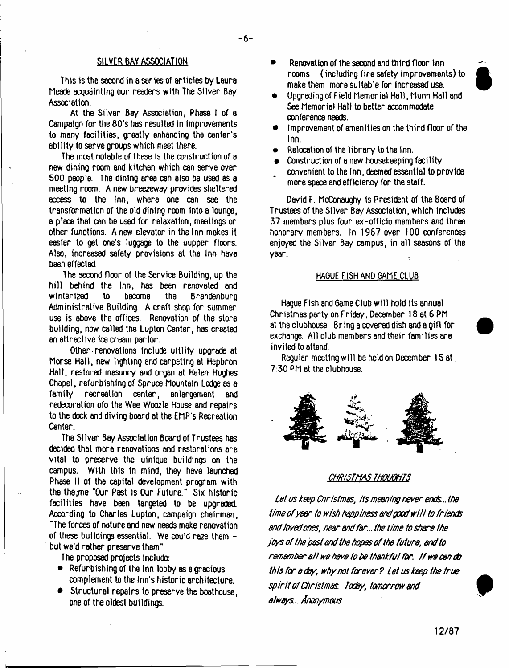# SILVER BAY ASSOCIATION

This is the second in a series of articles by Laura Meade acquainting our readers with The Silver Bay Association.

At the Silver Bay Association, Phase I of a Campaign for the 80's has resulted in improvements to many facilities, greatly enhancing the center's ability to serve groups which meet there.

The most notable of these is the construction of a new dining room end kitchen which can serve over 500 people. The dining area can also be used as a meeting room. A new breezeway provides sheltered access to the Inn, where one can see the transformation of the old dining room Into a lounge, a place that can be used for relaxation, meetings or other functions. A new elevator in the Inn makes it easier to gel one's luggage to the uupper floors. Also, increased safety provisions at the Inn have been effected.

The second floor of the Service Building, up the hill behind the Inn, has been renovated end winterized to become the Brandenburg Administrative Building. A craft shop for summer use is above the offices. Renovation of the store building, now called the Luplon Center, has created an attractive ice cream parlor.

Other-renovations include uitlity upgrade at Morse Hall, new lighting and carpeting at Hepbron Hall, restored masonry and organ at Helen Hughes Chapel, refurbishing of Spruce Mountain Lodge as a family recreation center, enlargement and redecoration ofo the Wee Woozle House and repairs to the dock and diving board at the EMP's Recreation Center.

The Silver Bay Association Board of Trustees has decided that more renovations and restorations ore vital to preserve the uinlque buildings on the campus. With this in mind, they have launched Phase II of the capital development program with the the;me "Our Past is Our Future." Six historic facilities have been targeted to be upgraded. Acoording to Charles Luplon, campaign chairman, "The forces of nature and new needs make renovation of these buildings essential. We could ra2e them but we'd rather preserve them"

The proposed projects include:

- Refurbishing of the Inn lobby as a gracious complement to the Inn's historic architecture.
- Structural repairs to preserve the boathouse, one of the oldest buildings.
- Renovation of the second end third floor Inn rooms ( including fire safety improvements) to make them more suitable for increased use.
- Upgrading of Field Memorial Hall, Munn Hall and See Memorial Hall to better accommodate conference needs.
- Improvement of amenities on the third floor of the Inn.
- Relocation of the library to the Inn.
- Construction of a new housekeeping facility convenient to the Inn. deemed essential to provide more space and efficiency for the staff.

David F. McConaughy is President of the Board of Trustees of the Silver Bay Association, which includes 37 members plus four ex-officio members and three honorary members. In 1987 over 100 conferences enjcyed the Silver Bay campus, in all seasons of the year.

# HAGUE FISH AND GAME CLUB

Hague Fish and Game Club will hold its annual Christmas party on Friday, December 18 at 6 PM at the clubhouse. Bring a covered dish 8nd a gift for exchange. All club members and their families are invited to attend.

Regular meeting will be held on December 15 at 7:30 PM at the clubhouse.



#### *CHRISTMAS THOUGHTS*

*Let us keep Christmas, its meaning never ends ..the time ofyear to wish happiness and good w ill to friends and loved ones, near and far...the time to share the joys of the past and the hopes of the future, and to remember at! wa have to be thankful for. tf we can do th/s for a day, why not forever ? Let us keep the true sp irit of Christmas Today, tomorrow and always*.. *Anonymous*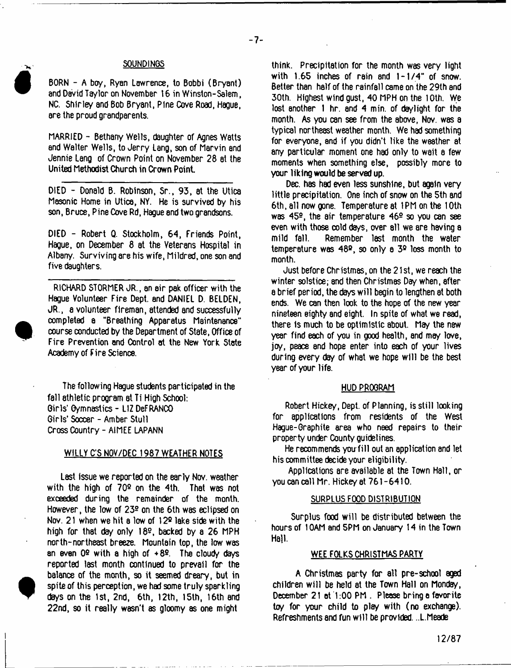# **SOUNDINGS**

- 7-

BORN - A boy, Ryan Lawrence, to Bobbi (Bryant) and David Taylor on November 16 in Winston-Salem, NO. Shirley and Bob Bryant, Pine Cove Road, Hague, are the proud grandparents.

MARRIED - Bethany Wells, daughter of Agnes Wstts and Walter Wells, to Jerry Lang, son of Marvin and Jennie Lang of Crown Point on November 28 at the United Methodist Church in Crown Point

DIED - Donald B. Robinson, Sr., 93, at the Utica Masonic Home in Utica, NY. He is survived by his son, Bruce, Pine Cove Rd, Hague and two grandsons.

DIED - Robert Q. Stockholm, 64, Friends Point, Hague, on December 8 at the Veterans Hospital in Albany. Surviving are his wife, Mildred, one son and five daughters.

RICHARD STORMER JR., an air pak officer with the Hague Volunteer Fire Dept, and DANIEL D. BELDEN, JR., a volunteer fireman, attended and successfully completed a "Breathing Apparatus Maintenance" course conducted by the Department of State, Office of Fire Prevention and Oontrol at the New York State Academy of Fire Science.

The following Hague students participated in the fall athletic program at Ti High School: Girls' Gymnastics - LIZ DeFRANCO Girls' Soccer - Amber Stull Cross Country - AIMEE LAPANN

# WILLY C'S NOV/DEC 1987 WEATHER NOTES

Last Issue we reported on the early Nov. weather with the high of 70® on the 4th. That was not exceeded during the remainder of the month. However, the low of  $23<sup>°</sup>$  on the 6th was eclipsed on Nov. 21 when we hit a low of 12® lake side with the high for that day only 18®, backed by a 26 MPH north-northeast breeze. Mountain top, the low was an even  $0^\circ$  with a high of  $+8^\circ$ . The cloudy days reported last month continued to prevail for the balance of the month, so it seemed dreary, but in spite of this perception, we had some truly sparkling days on the 1st, 2nd, 6th, 12th, 15th, 16th and 22nd, so it really wasn't as gloomy as one might

**t**

think. Precipitation for the month was very light with 1.65 inches of rain and 1-1/4" of snow. Better than half of the rainfall came on the 29th and 30th. Highest wind gust, 40 MPH on the 10th. We lost another 1 hr. and 4 min. of daylight for the month. As you can see from the sbove, Nov. was a typical northeast weather month. We had something for everyone, and if you didn't like the weather at any particular moment one had only to wait a few moments when something else, possibly more to your liking would be served up.

Dec. has had even less sunshine, but again very little precipitation. One inch of snow on the 5th and 6th, all now gone. Temperature at 1PM on the 10th was 45®, the air temperature 46® so you can see even with those cold days, over 811 we are having a mild fall. Remember last month the water temperature was 48®, so only a 3® loss month to month.

Just before Christmas, on the 21 st, we reach the winter solstice; and then Christmas Day when, after a brief period, the days w ill begin to lengthen at both ends. We can then look to the hope of the new year nineteen eighty snd eight. In spite of what we read, there is much to be optimistic about. May the new year find each of you in good health, and may love, joy, peace and hope enter into each of your lives during every day of what we hope will be the best year of your life.

#### HUD PROGRAM

Robert Hickey, Dept, of Planning, is still looking for applications from residents of the West Hague-Graphite area who need repairs to their property under County guidelines.

He recommends you-fill out an application and let his committee decide your eligibility.

Applications are available at the Town Hall, or you can call Mr. Hickey at 761-6410.

#### SURPLUS FOOD DISTRIBUTION

Surplus food will be distributed between the hours of 1 GAM and 5PM on January 14 in the Town Hall.

#### WEE FOLKS CHRISTMAS PARTY

A Christmas party for all pre-school aged children will be held at the Town Hall on Monday, December 21 et 1:00 PM . Please bring e favorite toy for your child to play with (no exchange). Refreshments and fun w ill be provided. ..L.Meade